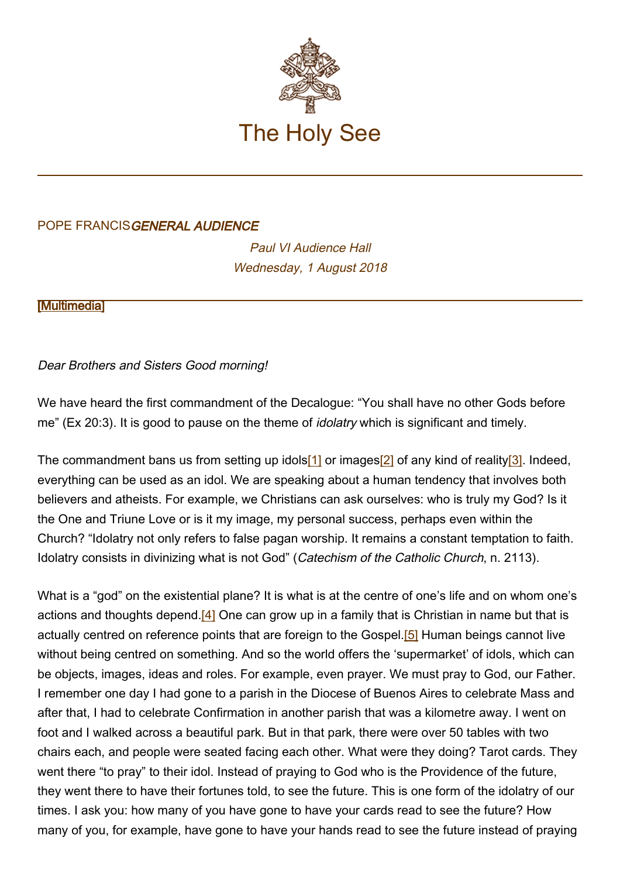

## POPE FRANCISGENERAL AUDIENCE

Paul VI Audience Hall Wednesday, 1 August 2018

**[\[Multimedia](http://w2.vatican.va/content/francesco/en/events/event.dir.html/content/vaticanevents/en/2018/8/1/udienzagenerale.html)]** 

## Dear Brothers and Sisters Good morning!

We have heard the first commandment of the Decalogue: "You shall have no other Gods before me" (Ex 20:3). It is good to pause on the theme of *idolatry* which is significant and timely.

The commandment bans us from setting up idols[1] or images[2] of any kind of reality[3]. Indeed, everything can be used as an idol. We are speaking about a human tendency that involves both believers and atheists. For example, we Christians can ask ourselves: who is truly my God? Is it the One and Triune Love or is it my image, my personal success, perhaps even within the Church? "Idolatry not only refers to false pagan worship. It remains a constant temptation to faith. Idolatry consists in divinizing what is not God" (Catechism of the Catholic Church, n. 2113).

What is a "god" on the existential plane? It is what is at the centre of one's life and on whom one's actions and thoughts depend.<sup>[4]</sup> One can grow up in a family that is Christian in name but that is actually centred on reference points that are foreign to the Gospel.<sup>[5]</sup> Human beings cannot live without being centred on something. And so the world offers the 'supermarket' of idols, which can be objects, images, ideas and roles. For example, even prayer. We must pray to God, our Father. I remember one day I had gone to a parish in the Diocese of Buenos Aires to celebrate Mass and after that, I had to celebrate Confirmation in another parish that was a kilometre away. I went on foot and I walked across a beautiful park. But in that park, there were over 50 tables with two chairs each, and people were seated facing each other. What were they doing? Tarot cards. They went there "to pray" to their idol. Instead of praying to God who is the Providence of the future, they went there to have their fortunes told, to see the future. This is one form of the idolatry of our times. I ask you: how many of you have gone to have your cards read to see the future? How many of you, for example, have gone to have your hands read to see the future instead of praying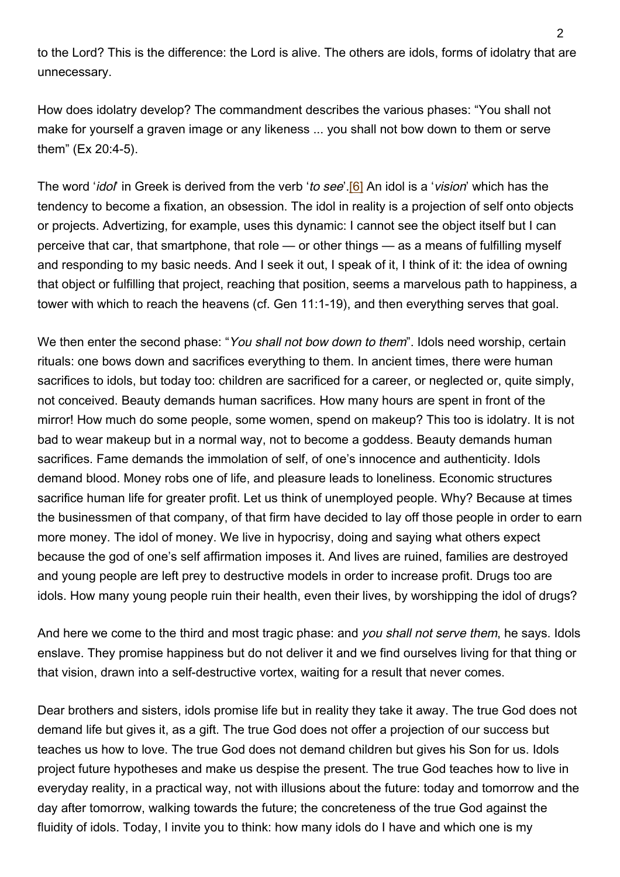to the Lord? This is the difference: the Lord is alive. The others are idols, forms of idolatry that are unnecessary.

How does idolatry develop? The commandment describes the various phases: "You shall not make for yourself a graven image or any likeness ... you shall not bow down to them or serve them" (Ex 20:4-5).

The word '*idol'* in Greek is derived from the verb '*to see*'.<sup>[6]</sup> An idol is a '*vision*' which has the tendency to become a fixation, an obsession. The idol in reality is a projection of self onto objects or projects. Advertizing, for example, uses this dynamic: I cannot see the object itself but I can perceive that car, that smartphone, that role — or other things — as a means of fulfilling myself and responding to my basic needs. And I seek it out, I speak of it, I think of it: the idea of owning that object or fulfilling that project, reaching that position, seems a marvelous path to happiness, a tower with which to reach the heavens (cf. Gen 11:1-19), and then everything serves that goal.

We then enter the second phase: "You shall not bow down to them". Idols need worship, certain rituals: one bows down and sacrifices everything to them. In ancient times, there were human sacrifices to idols, but today too: children are sacrificed for a career, or neglected or, quite simply, not conceived. Beauty demands human sacrifices. How many hours are spent in front of the mirror! How much do some people, some women, spend on makeup? This too is idolatry. It is not bad to wear makeup but in a normal way, not to become a goddess. Beauty demands human sacrifices. Fame demands the immolation of self, of one's innocence and authenticity. Idols demand blood. Money robs one of life, and pleasure leads to loneliness. Economic structures sacrifice human life for greater profit. Let us think of unemployed people. Why? Because at times the businessmen of that company, of that firm have decided to lay off those people in order to earn more money. The idol of money. We live in hypocrisy, doing and saying what others expect because the god of one's self affirmation imposes it. And lives are ruined, families are destroyed and young people are left prey to destructive models in order to increase profit. Drugs too are idols. How many young people ruin their health, even their lives, by worshipping the idol of drugs?

And here we come to the third and most tragic phase: and you shall not serve them, he says. Idols enslave. They promise happiness but do not deliver it and we find ourselves living for that thing or that vision, drawn into a self-destructive vortex, waiting for a result that never comes.

Dear brothers and sisters, idols promise life but in reality they take it away. The true God does not demand life but gives it, as a gift. The true God does not offer a projection of our success but teaches us how to love. The true God does not demand children but gives his Son for us. Idols project future hypotheses and make us despise the present. The true God teaches how to live in everyday reality, in a practical way, not with illusions about the future: today and tomorrow and the day after tomorrow, walking towards the future; the concreteness of the true God against the fluidity of idols. Today, I invite you to think: how many idols do I have and which one is my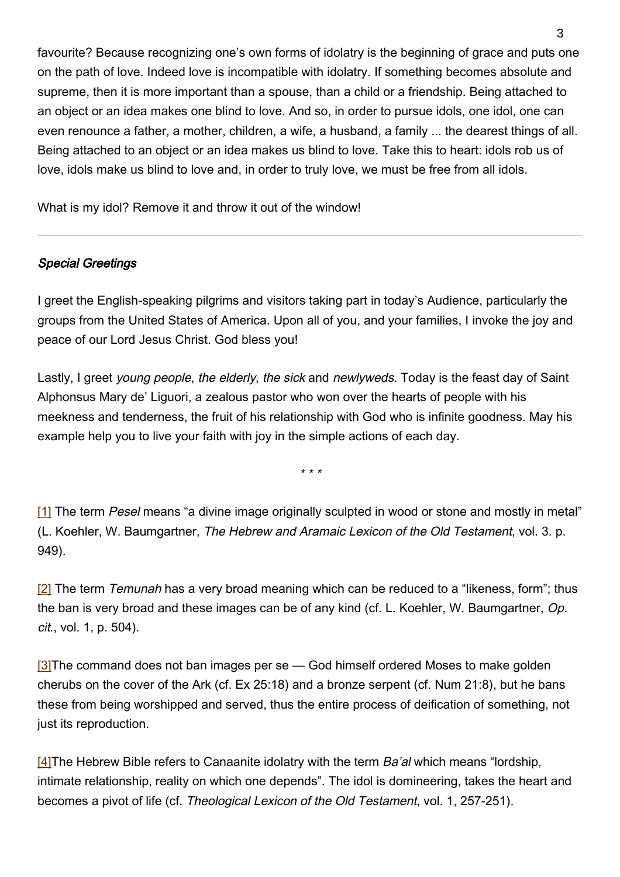favourite? Because recognizing one's own forms of idolatry is the beginning of grace and puts one on the path of love. Indeed love is incompatible with idolatry. If something becomes absolute and supreme, then it is more important than a spouse, than a child or a friendship. Being attached to an object or an idea makes one blind to love. And so, in order to pursue idols, one idol, one can even renounce a father, a mother, children, a wife, a husband, a family ... the dearest things of all. Being attached to an object or an idea makes us blind to love. Take this to heart: idols rob us of love, idols make us blind to love and, in order to truly love, we must be free from all idols.

What is my idol? Remove it and throw it out of the window!

## Special Greetings

I greet the English-speaking pilgrims and visitors taking part in today's Audience, particularly the groups from the United States of America. Upon all of you, and your families, I invoke the joy and peace of our Lord Jesus Christ. God bless you!

Lastly, I greet young people, the elderly, the sick and newlyweds. Today is the feast day of Saint Alphonsus Mary de' Liguori, a zealous pastor who won over the hearts of people with his meekness and tenderness, the fruit of his relationship with God who is infinite goodness. May his example help you to live your faith with joy in the simple actions of each day.

\* \* \*

[1] The term Pesel means "a divine image originally sculpted in wood or stone and mostly in metal" (L. Koehler, W. Baumgartner, The Hebrew and Aramaic Lexicon of the Old Testament, vol. 3. p. 949).

[2] The term Temunah has a very broad meaning which can be reduced to a "likeness, form"; thus the ban is very broad and these images can be of any kind (cf. L. Koehler, W. Baumgartner, Op. cit., vol. 1, p. 504).

 $[3]$ The command does not ban images per se — God himself ordered Moses to make golden cherubs on the cover of the Ark (cf. Ex 25:18) and a bronze serpent (cf. Num 21:8), but he bans these from being worshipped and served, thus the entire process of deification of something, not just its reproduction.

 $[4]$ The Hebrew Bible refers to Canaanite idolatry with the term Ba'al which means "lordship, intimate relationship, reality on which one depends". The idol is domineering, takes the heart and becomes a pivot of life (cf. Theological Lexicon of the Old Testament, vol. 1, 257-251).